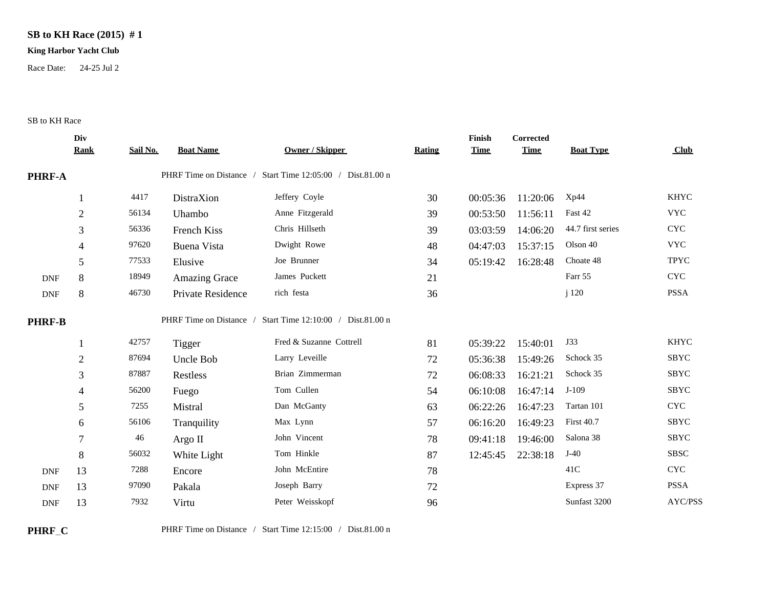## **SB to KH Race (2015) # 1**

## **King Harbor Yacht Club**

Race Date: 24-25 Jul 2

## SB to KH Race

|                             | Div            |          |                         |                                    |        | Finish      | <b>Corrected</b> |                   |                           |
|-----------------------------|----------------|----------|-------------------------|------------------------------------|--------|-------------|------------------|-------------------|---------------------------|
|                             | <b>Rank</b>    | Sail No. | <b>Boat Name</b>        | <b>Owner / Skipper</b>             | Rating | <b>Time</b> | <b>Time</b>      | <b>Boat Type</b>  | Club                      |
| PHRF-A                      |                |          | PHRF Time on Distance / | Start Time 12:05:00 / Dist.81.00 n |        |             |                  |                   |                           |
|                             |                | 4417     | DistraXion              | Jeffery Coyle                      | 30     | 00:05:36    | 11:20:06         | Xp44              | <b>KHYC</b>               |
|                             | $\overline{2}$ | 56134    | Uhambo                  | Anne Fitzgerald                    | 39     | 00:53:50    | 11:56:11         | Fast 42           | <b>VYC</b>                |
|                             | 3              | 56336    | French Kiss             | Chris Hillseth                     | 39     | 03:03:59    | 14:06:20         | 44.7 first series | $\ensuremath{\text{CYC}}$ |
|                             | 4              | 97620    | <b>Buena Vista</b>      | Dwight Rowe                        | 48     | 04:47:03    | 15:37:15         | Olson 40          | <b>VYC</b>                |
|                             | 5              | 77533    | Elusive                 | Joe Brunner                        | 34     | 05:19:42    | 16:28:48         | Choate 48         | <b>TPYC</b>               |
| $\ensuremath{\mathsf{DNF}}$ | 8              | 18949    | Amazing Grace           | James Puckett                      | 21     |             |                  | Farr 55           | <b>CYC</b>                |
| $\ensuremath{\mathsf{DNF}}$ | 8              | 46730    | Private Residence       | rich festa                         | 36     |             |                  | j 120             | <b>PSSA</b>               |
| <b>PHRF-B</b>               |                |          | PHRF Time on Distance / | Start Time 12:10:00 / Dist.81.00 n |        |             |                  |                   |                           |
|                             |                | 42757    | Tigger                  | Fred & Suzanne Cottrell            | 81     | 05:39:22    | 15:40:01         | J33               | <b>KHYC</b>               |
|                             | $\overline{2}$ | 87694    | Uncle Bob               | Larry Leveille                     | 72     | 05:36:38    | 15:49:26         | Schock 35         | SBYC                      |
|                             | 3              | 87887    | Restless                | Brian Zimmerman                    | 72     | 06:08:33    | 16:21:21         | Schock 35         | <b>SBYC</b>               |
|                             | 4              | 56200    | Fuego                   | Tom Cullen                         | 54     | 06:10:08    | 16:47:14         | $J-109$           | <b>SBYC</b>               |
|                             | 5              | 7255     | Mistral                 | Dan McGanty                        | 63     | 06:22:26    | 16:47:23         | Tartan 101        | <b>CYC</b>                |
|                             | 6              | 56106    | Tranquility             | Max Lynn                           | 57     | 06:16:20    | 16:49:23         | <b>First 40.7</b> | <b>SBYC</b>               |
|                             | 7              | 46       | Argo II                 | John Vincent                       | 78     | 09:41:18    | 19:46:00         | Salona 38         | <b>SBYC</b>               |
|                             | 8              | 56032    | White Light             | Tom Hinkle                         | 87     | 12:45:45    | 22:38:18         | $J-40$            | <b>SBSC</b>               |
| <b>DNF</b>                  | 13             | 7288     | Encore                  | John McEntire                      | 78     |             |                  | 41C               | <b>CYC</b>                |
| <b>DNF</b>                  | 13             | 97090    | Pakala                  | Joseph Barry                       | 72     |             |                  | Express 37        | <b>PSSA</b>               |
| <b>DNF</b>                  | 13             | 7932     | Virtu                   | Peter Weisskopf                    | 96     |             |                  | Sunfast 3200      | AYC/PSS                   |

**PHRF\_C** PHRF Time on Distance / Start Time 12:15:00 / Dist.81.00 n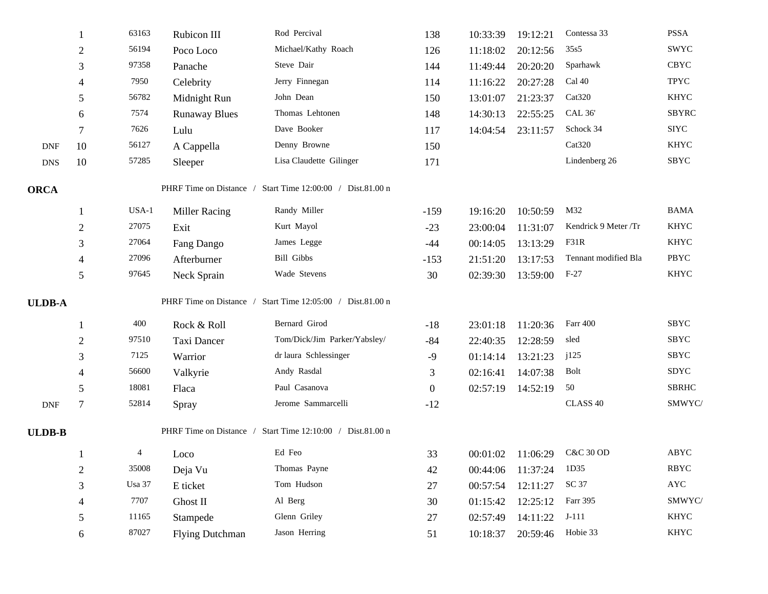|               |                | 63163                                                      | Rubicon III            | Rod Percival                 | 138              | 10:33:39 | 19:12:21          | Contessa 33          | <b>PSSA</b>    |  |
|---------------|----------------|------------------------------------------------------------|------------------------|------------------------------|------------------|----------|-------------------|----------------------|----------------|--|
|               | $\overline{2}$ | 56194                                                      | Poco Loco              | Michael/Kathy Roach          | 126              | 11:18:02 | 20:12:56          | 35s5                 | SWYC           |  |
|               | 3              | 97358                                                      | Panache                | Steve Dair                   | 144              | 11:49:44 | 20:20:20          | Sparhawk             | <b>CBYC</b>    |  |
|               | 4              | 7950                                                       | Celebrity              | Jerry Finnegan               | 114              | 11:16:22 | 20:27:28          | Cal 40               | <b>TPYC</b>    |  |
|               | 5              | 56782                                                      | Midnight Run           | John Dean                    | 150              | 13:01:07 | 21:23:37          | Cat <sub>320</sub>   | <b>KHYC</b>    |  |
|               | 6              | 7574                                                       | <b>Runaway Blues</b>   | Thomas Lehtonen              | 148              | 14:30:13 | 22:55:25          | <b>CAL 36'</b>       | <b>SBYRC</b>   |  |
|               | $\tau$         | 7626                                                       | Lulu                   | Dave Booker                  | 117              | 14:04:54 | 23:11:57          | Schock 34            | <b>SIYC</b>    |  |
| <b>DNF</b>    | 10             | 56127                                                      | A Cappella             | Denny Browne                 | 150              |          |                   | Cat320               | <b>KHYC</b>    |  |
| <b>DNS</b>    | 10             | 57285                                                      | Sleeper                | Lisa Claudette Gilinger      | 171              |          |                   | Lindenberg 26        | SBYC           |  |
| <b>ORCA</b>   |                | PHRF Time on Distance / Start Time 12:00:00 / Dist.81.00 n |                        |                              |                  |          |                   |                      |                |  |
|               |                | USA-1                                                      | <b>Miller Racing</b>   | Randy Miller                 | $-159$           | 19:16:20 | 10:50:59          | M32                  | <b>BAMA</b>    |  |
|               | $\overline{2}$ | 27075                                                      | Exit                   | Kurt Mayol                   | $-23$            | 23:00:04 | 11:31:07          | Kendrick 9 Meter /Tr | <b>KHYC</b>    |  |
|               | 3              | 27064                                                      | Fang Dango             | James Legge                  | $-44$            | 00:14:05 | 13:13:29          | F31R                 | <b>KHYC</b>    |  |
|               | $\overline{4}$ | 27096                                                      | Afterburner            | <b>Bill Gibbs</b>            | $-153$           | 21:51:20 | 13:17:53          | Tennant modified Bla | <b>PBYC</b>    |  |
|               | 5              | 97645                                                      | Neck Sprain            | Wade Stevens                 | 30               | 02:39:30 | 13:59:00          | $F-27$               | KHYC           |  |
| <b>ULDB-A</b> |                | PHRF Time on Distance / Start Time 12:05:00 / Dist.81.00 n |                        |                              |                  |          |                   |                      |                |  |
|               |                | 400                                                        | Rock & Roll            | Bernard Girod                | $-18$            | 23:01:18 | 11:20:36          | Farr 400             | SBYC           |  |
|               | $\overline{2}$ | 97510                                                      | Taxi Dancer            | Tom/Dick/Jim Parker/Yabsley/ | $-84$            | 22:40:35 | 12:28:59          | sled                 | SBYC           |  |
|               | 3              | 7125                                                       | Warrior                | dr laura Schlessinger        | $-9$             | 01:14:14 | 13:21:23          | j125                 | <b>SBYC</b>    |  |
|               | 4              | 56600                                                      | Valkyrie               | Andy Rasdal                  | 3                | 02:16:41 | 14:07:38          | <b>Bolt</b>          | SDYC           |  |
|               | 5              | 18081                                                      | Flaca                  | Paul Casanova                | $\boldsymbol{0}$ | 02:57:19 | 14:52:19          | 50                   | <b>SBRHC</b>   |  |
| <b>DNF</b>    | $\overline{7}$ | 52814                                                      | Spray                  | Jerome Sammarcelli           | $-12$            |          |                   | CLASS 40             | SMWYC/         |  |
| <b>ULDB-B</b> |                | PHRF Time on Distance / Start Time 12:10:00 / Dist.81.00 n |                        |                              |                  |          |                   |                      |                |  |
|               |                | $\overline{4}$                                             | Loco                   | Ed Feo                       | 33               |          | 00:01:02 11:06:29 | <b>C&amp;C 30 OD</b> | ABYC           |  |
|               | $\overline{2}$ | 35008                                                      | Deja Vu                | Thomas Payne                 | 42               | 00:44:06 | 11:37:24          | 1D35                 | <b>RBYC</b>    |  |
|               | 3              | Usa 37                                                     | E ticket               | Tom Hudson                   | 27               | 00:57:54 | 12:11:27          | SC 37                | $\mathbf{AYC}$ |  |
|               | 4              | 7707                                                       | Ghost II               | Al Berg                      | 30               | 01:15:42 | 12:25:12          | Farr 395             | SMWYC/         |  |
|               | 5              | 11165                                                      | Stampede               | Glenn Griley                 | 27               | 02:57:49 | 14:11:22          | $J-111$              | KHYC           |  |
|               | 6              | 87027                                                      | <b>Flying Dutchman</b> | Jason Herring                | 51               | 10:18:37 | 20:59:46          | Hobie 33             | KHYC           |  |
|               |                |                                                            |                        |                              |                  |          |                   |                      |                |  |